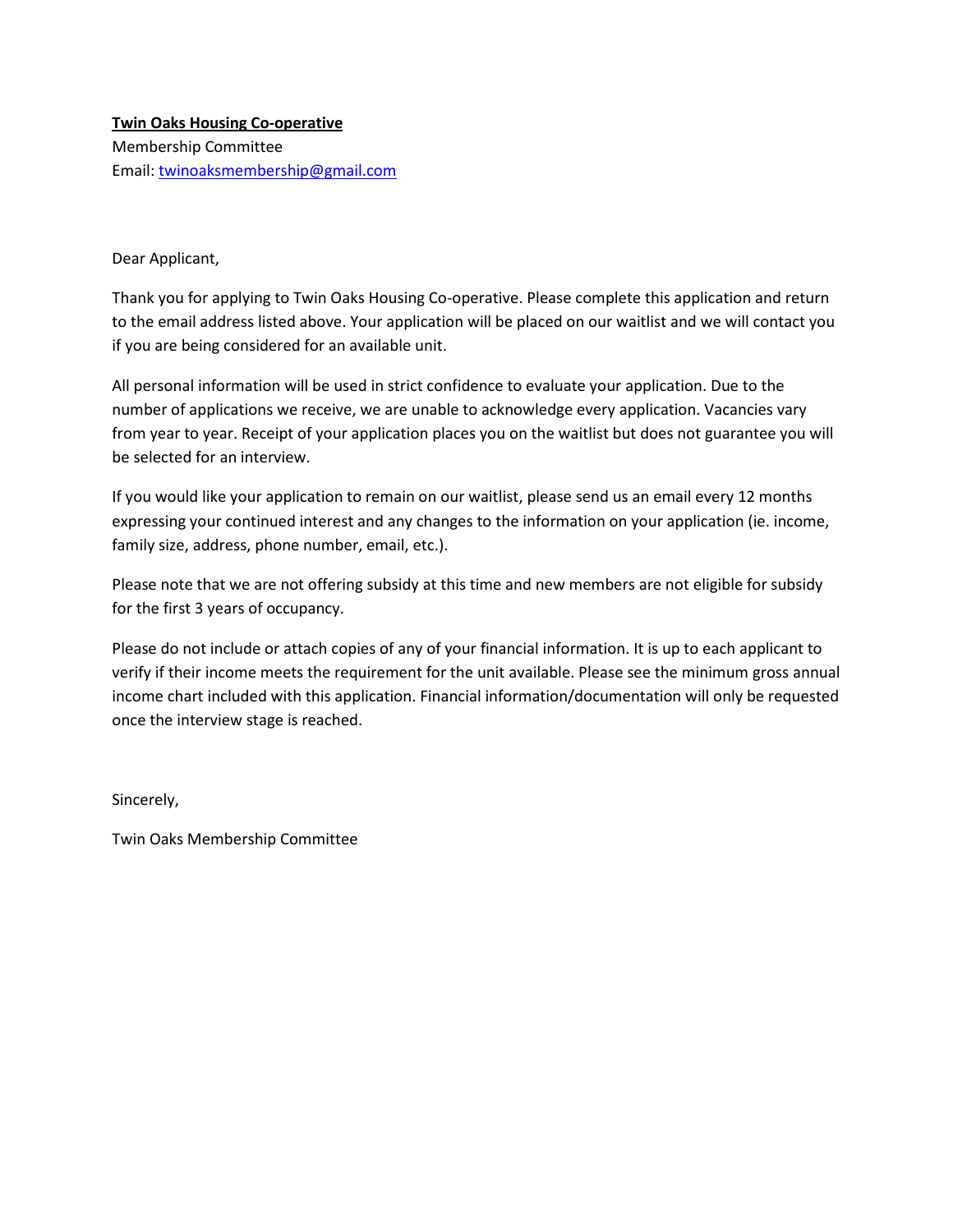### **Twin Oaks Housing Co-operative** Membership Committee Email: [twinoaksmembership@gmail.com](mailto:twinoaksmembership@gmail.com)

Dear Applicant,

Thank you for applying to Twin Oaks Housing Co-operative. Please complete this application and return to the email address listed above. Your application will be placed on our waitlist and we will contact you if you are being considered for an available unit.

All personal information will be used in strict confidence to evaluate your application. Due to the number of applications we receive, we are unable to acknowledge every application. Vacancies vary from year to year. Receipt of your application places you on the waitlist but does not guarantee you will be selected for an interview.

If you would like your application to remain on our waitlist, please send us an email every 12 months expressing your continued interest and any changes to the information on your application (ie. income, family size, address, phone number, email, etc.).

Please note that we are not offering subsidy at this time and new members are not eligible for subsidy for the first 3 years of occupancy.

Please do not include or attach copies of any of your financial information. It is up to each applicant to verify if their income meets the requirement for the unit available. Please see the minimum gross annual income chart included with this application. Financial information/documentation will only be requested once the interview stage is reached.

Sincerely,

Twin Oaks Membership Committee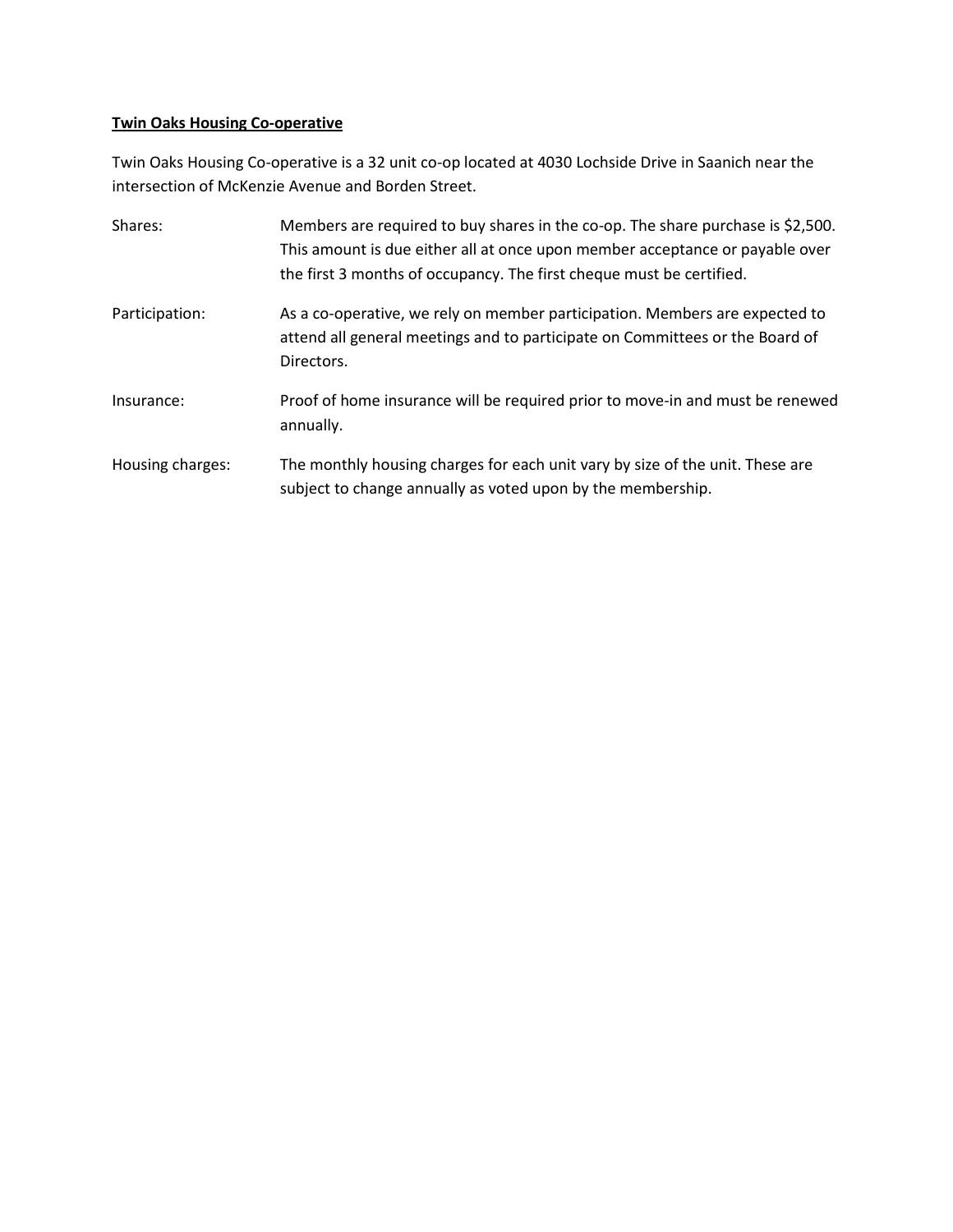## **Twin Oaks Housing Co-operative**

Twin Oaks Housing Co-operative is a 32 unit co-op located at 4030 Lochside Drive in Saanich near the intersection of McKenzie Avenue and Borden Street.

| Shares:          | Members are required to buy shares in the co-op. The share purchase is \$2,500.<br>This amount is due either all at once upon member acceptance or payable over<br>the first 3 months of occupancy. The first cheque must be certified. |
|------------------|-----------------------------------------------------------------------------------------------------------------------------------------------------------------------------------------------------------------------------------------|
| Participation:   | As a co-operative, we rely on member participation. Members are expected to<br>attend all general meetings and to participate on Committees or the Board of<br>Directors.                                                               |
| Insurance:       | Proof of home insurance will be required prior to move-in and must be renewed<br>annually.                                                                                                                                              |
| Housing charges: | The monthly housing charges for each unit vary by size of the unit. These are<br>subject to change annually as voted upon by the membership.                                                                                            |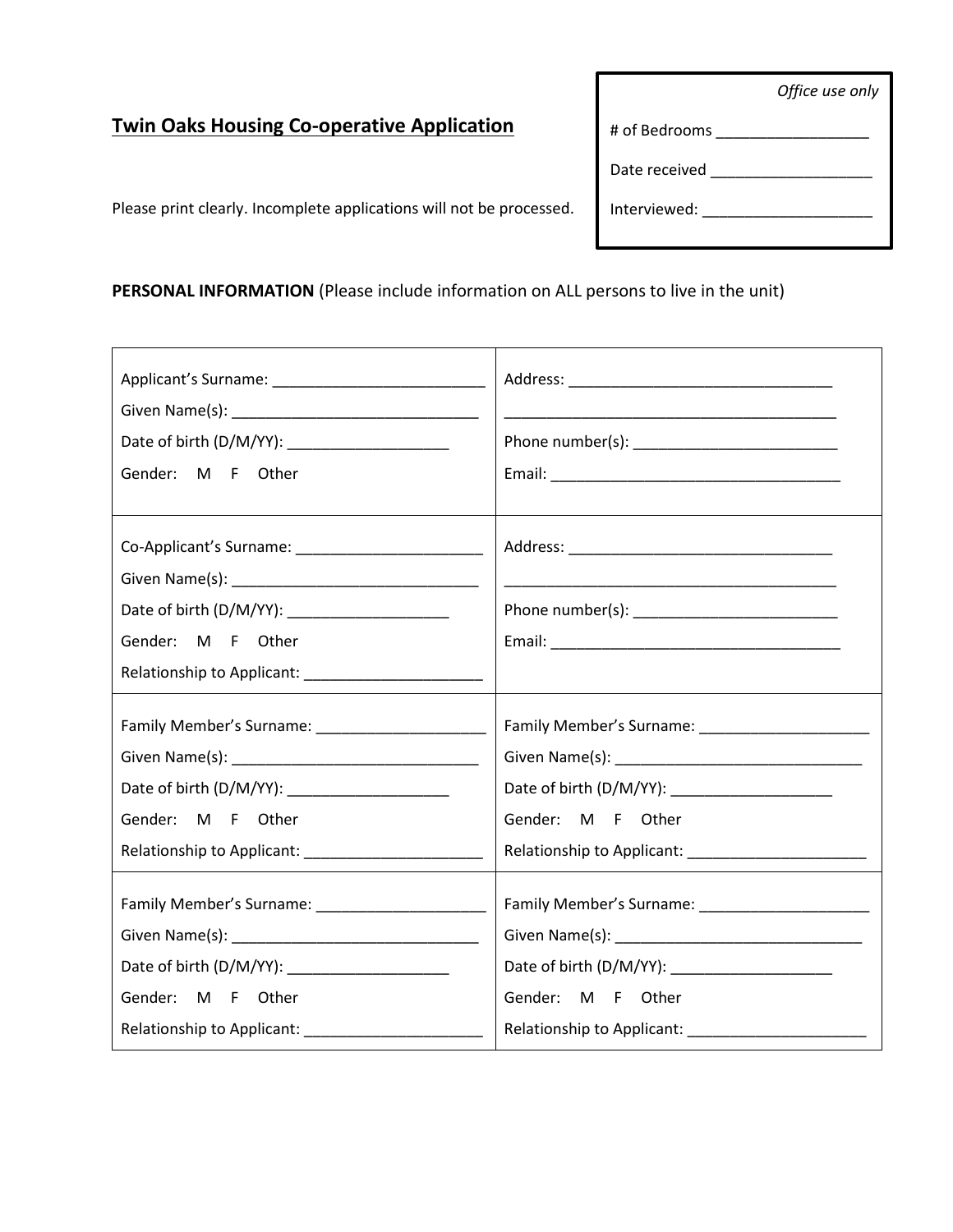*Office use only*

# **Twin Oaks Housing Co-operative Application**

Please print clearly. Incomplete applications will not be processed.

**PERSONAL INFORMATION** (Please include information on ALL persons to live in the unit)

| Date of birth (D/M/YY): ______________________<br>Gender: M F Other |                   |  |
|---------------------------------------------------------------------|-------------------|--|
|                                                                     |                   |  |
| Gender: M F Other                                                   |                   |  |
|                                                                     |                   |  |
|                                                                     |                   |  |
|                                                                     |                   |  |
|                                                                     |                   |  |
| Gender: M F Other                                                   | Gender: M F Other |  |
|                                                                     |                   |  |
| Date of birth (D/M/YY): ____________________<br>Gender: M F Other   | Gender: M F Other |  |
|                                                                     |                   |  |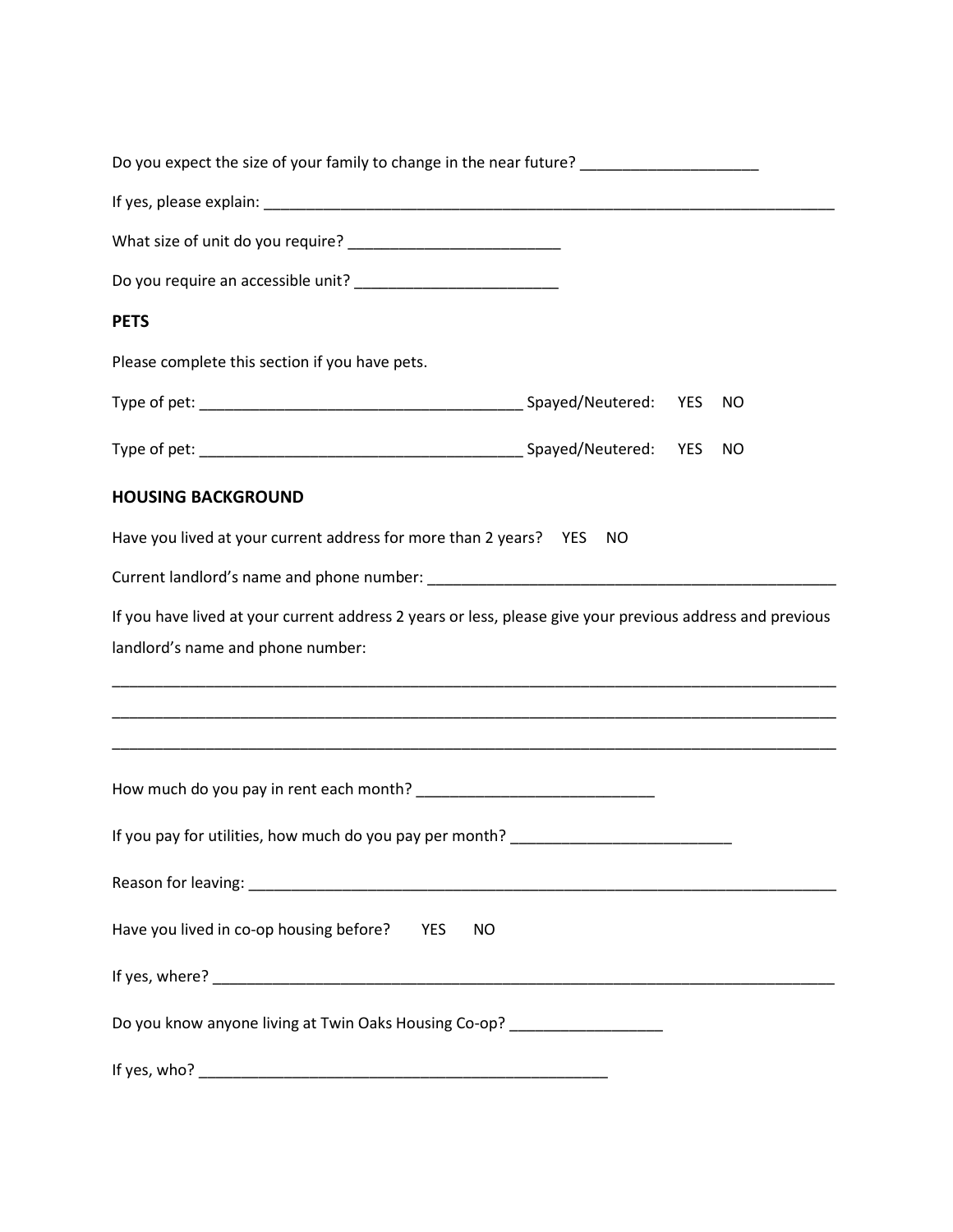| Do you expect the size of your family to change in the near future? ___________________                   |  |           |
|-----------------------------------------------------------------------------------------------------------|--|-----------|
|                                                                                                           |  |           |
|                                                                                                           |  |           |
|                                                                                                           |  |           |
| <b>PETS</b>                                                                                               |  |           |
| Please complete this section if you have pets.                                                            |  |           |
|                                                                                                           |  | NO        |
|                                                                                                           |  | <b>NO</b> |
| <b>HOUSING BACKGROUND</b>                                                                                 |  |           |
| Have you lived at your current address for more than 2 years?    YES    NO                                |  |           |
|                                                                                                           |  |           |
| If you have lived at your current address 2 years or less, please give your previous address and previous |  |           |
| landlord's name and phone number:                                                                         |  |           |
|                                                                                                           |  |           |
|                                                                                                           |  |           |
|                                                                                                           |  |           |
| If you pay for utilities, how much do you pay per month? _______________________                          |  |           |
|                                                                                                           |  |           |
| Have you lived in co-op housing before?<br><b>YES</b><br><b>NO</b>                                        |  |           |
|                                                                                                           |  |           |
| Do you know anyone living at Twin Oaks Housing Co-op? ____________________                                |  |           |
|                                                                                                           |  |           |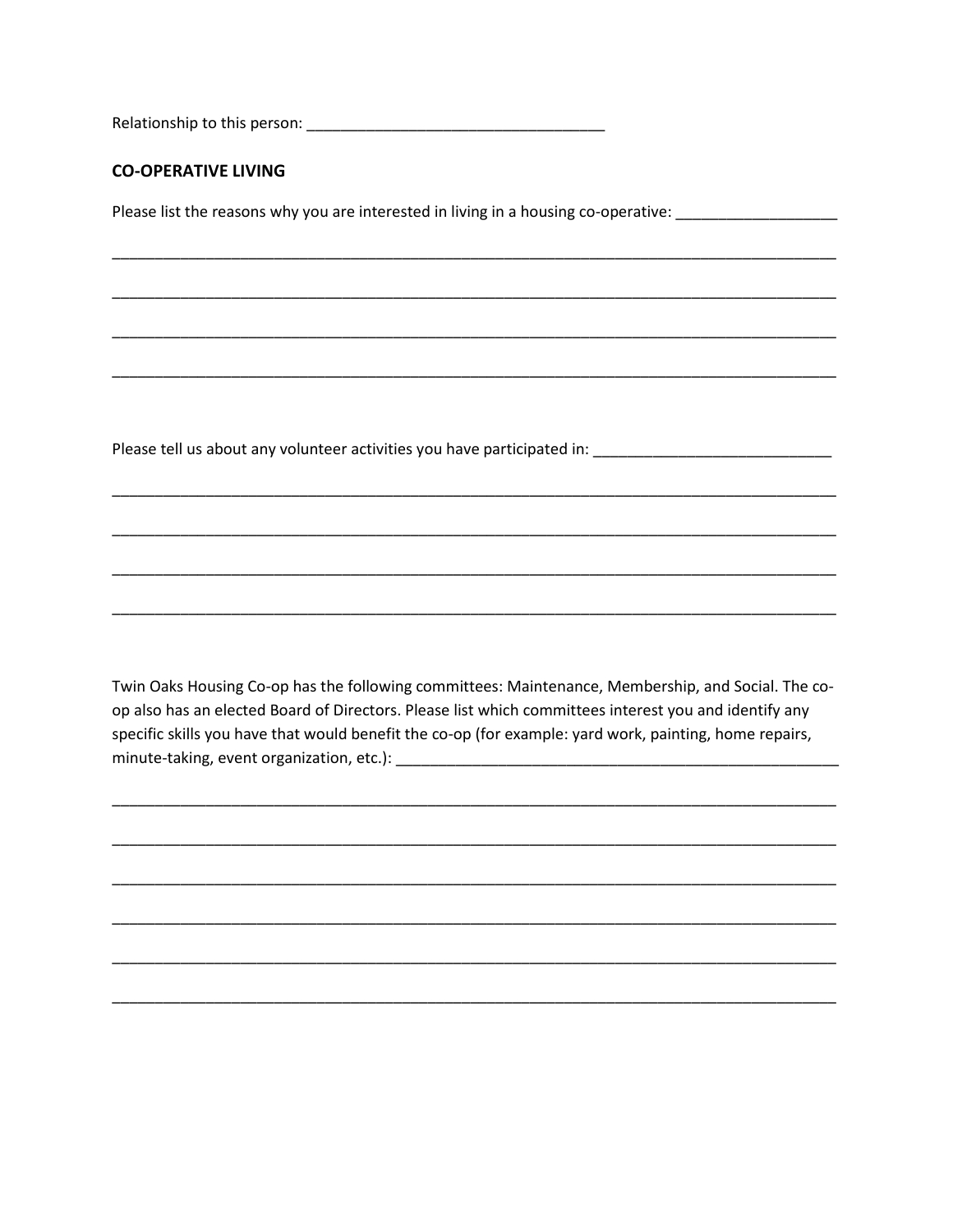#### **CO-OPERATIVE LIVING**

Please list the reasons why you are interested in living in a housing co-operative: \_\_\_\_\_\_\_\_\_\_\_\_\_\_\_

Please tell us about any volunteer activities you have participated in: \_\_\_\_\_\_\_\_\_\_\_\_\_\_\_\_\_\_\_\_\_\_\_\_\_\_\_\_

Twin Oaks Housing Co-op has the following committees: Maintenance, Membership, and Social. The coop also has an elected Board of Directors. Please list which committees interest you and identify any specific skills you have that would benefit the co-op (for example: yard work, painting, home repairs,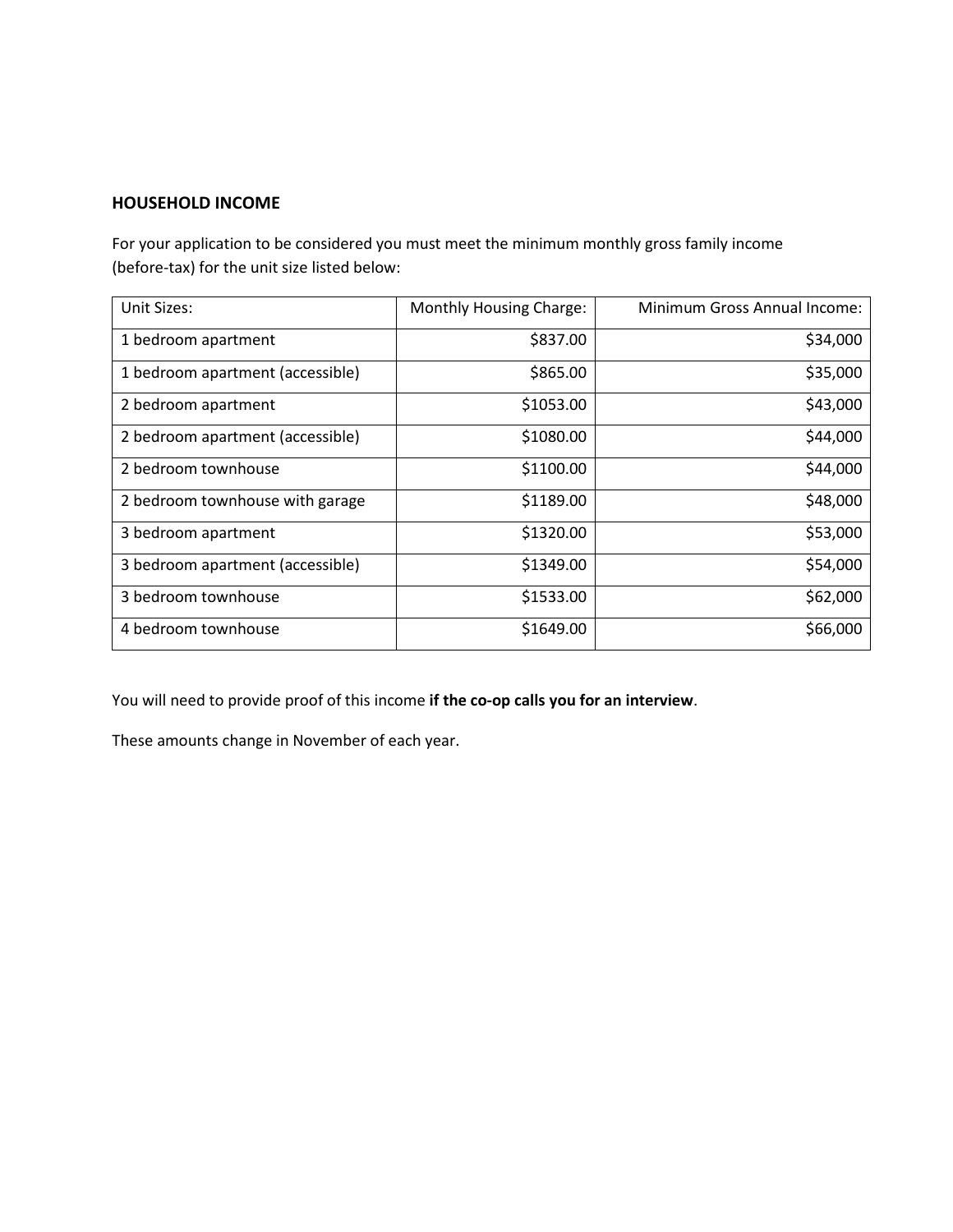#### **HOUSEHOLD INCOME**

For your application to be considered you must meet the minimum monthly gross family income (before-tax) for the unit size listed below:

| Unit Sizes:                      | Monthly Housing Charge: | Minimum Gross Annual Income: |
|----------------------------------|-------------------------|------------------------------|
| 1 bedroom apartment              | \$837.00                | \$34,000                     |
| 1 bedroom apartment (accessible) | \$865.00                | \$35,000                     |
| 2 bedroom apartment              | \$1053.00               | \$43,000                     |
| 2 bedroom apartment (accessible) | \$1080.00               | \$44,000                     |
| 2 bedroom townhouse              | \$1100.00               | \$44,000                     |
| 2 bedroom townhouse with garage  | \$1189.00               | \$48,000                     |
| 3 bedroom apartment              | \$1320.00               | \$53,000                     |
| 3 bedroom apartment (accessible) | \$1349.00               | \$54,000                     |
| 3 bedroom townhouse              | \$1533.00               | \$62,000                     |
| 4 bedroom townhouse              | \$1649.00               | \$66,000                     |

You will need to provide proof of this income **if the co-op calls you for an interview**.

These amounts change in November of each year.